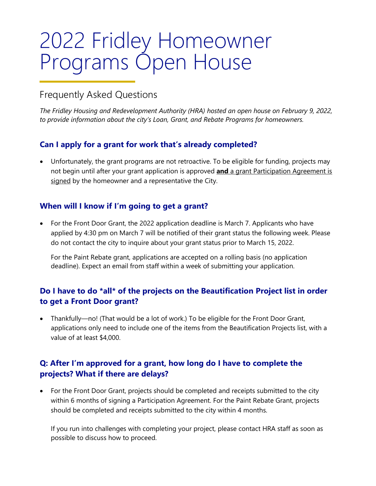# 2022 Fridley Homeowner Programs Open House

### Frequently Asked Questions

*The Fridley Housing and Redevelopment Authority (HRA) hosted an open house on February 9, 2022, to provide information about the city's Loan, Grant, and Rebate Programs for homeowners.*

#### **Can I apply for a grant for work that's already completed?**

• Unfortunately, the grant programs are not retroactive. To be eligible for funding, projects may not begin until after your grant application is approved **and** a grant Participation Agreement is signed by the homeowner and a representative the City.

#### **When will I know if I'm going to get a grant?**

• For the Front Door Grant, the 2022 application deadline is March 7. Applicants who have applied by 4:30 pm on March 7 will be notified of their grant status the following week. Please do not contact the city to inquire about your grant status prior to March 15, 2022.

For the Paint Rebate grant, applications are accepted on a rolling basis (no application deadline). Expect an email from staff within a week of submitting your application.

#### **Do I have to do \*all\* of the projects on the Beautification Project list in order to get a Front Door grant?**

• Thankfully—no! (That would be a lot of work.) To be eligible for the Front Door Grant, applications only need to include one of the items from the Beautification Projects list, with a value of at least \$4,000.

#### **Q: After I'm approved for a grant, how long do I have to complete the projects? What if there are delays?**

• For the Front Door Grant, projects should be completed and receipts submitted to the city within 6 months of signing a Participation Agreement. For the Paint Rebate Grant, projects should be completed and receipts submitted to the city within 4 months.

If you run into challenges with completing your project, please contact HRA staff as soon as possible to discuss how to proceed.